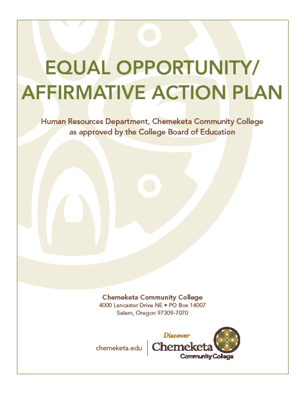# **EQUAL OPPORTUNITY/ AFFIRMATIVE ACTION PLAN**

Human Resources Department, Chemeketa Community College as approved by the College Board of Education

> **Chemeketa Community College** 4000 Lancaster Drive NE . PO Box 14007 Salem, Oregon 97309-7070



chemeketa.edu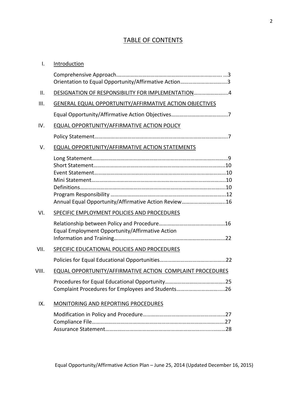## TABLE OF CONTENTS

| $\mathsf{I}$ . | Introduction                                              |  |
|----------------|-----------------------------------------------------------|--|
|                | Orientation to Equal Opportunity/Affirmative Action3      |  |
| Ш.             | DESIGNATION OF RESPONSIBILITY FOR IMPLEMENTATION 4        |  |
| III.           | GENERAL EQUAL OPPORTUNITY/AFFIRMATIVE ACTION OBJECTIVES   |  |
|                |                                                           |  |
| IV.            | EQUAL OPPORTUNITY/AFFIRMATIVE ACTION POLICY               |  |
|                |                                                           |  |
| V.             | EQUAL OPPORTUNITY/AFFIRMATIVE ACTION STATEMENTS           |  |
|                |                                                           |  |
|                |                                                           |  |
|                |                                                           |  |
|                |                                                           |  |
|                |                                                           |  |
|                | Annual Equal Opportunity/Affirmative Action Review16      |  |
| VI.            | SPECIFIC EMPLOYMENT POLICIES AND PROCEDURES               |  |
|                |                                                           |  |
|                | Equal Employment Opportunity/Affirmative Action           |  |
|                |                                                           |  |
| VII.           | SPECIFIC EDUCATIONAL POLICIES AND PROCEDURES              |  |
|                |                                                           |  |
| VIII.          | EQUAL OPPORTUNITY/AFFIRMATIVE ACTION COMPLAINT PROCEDURES |  |
|                |                                                           |  |
|                | Complaint Procedures for Employees and Students26         |  |
| IX.            | <b>MONITORING AND REPORTING PROCEDURES</b>                |  |
|                |                                                           |  |
|                |                                                           |  |
|                |                                                           |  |
|                |                                                           |  |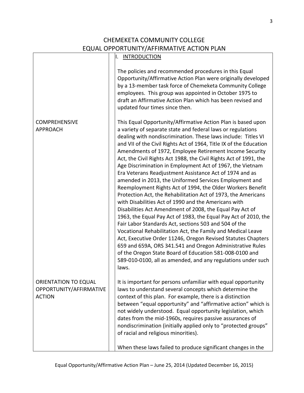## CHEMEKETA COMMUNITY COLLEGE EQUAL OPPORTUNITY/AFFIRMATIVE ACTION PLAN

F

|                                                                         | <b>INTRODUCTION</b><br>ΙΙ.                                                                                                                                                                                                                                                                                                                                                                                                                                                                                                                                                                                                                                                                                                                                                                                                                                                                                                                                                                                                                                                                                                                                                                                                                                                                          |
|-------------------------------------------------------------------------|-----------------------------------------------------------------------------------------------------------------------------------------------------------------------------------------------------------------------------------------------------------------------------------------------------------------------------------------------------------------------------------------------------------------------------------------------------------------------------------------------------------------------------------------------------------------------------------------------------------------------------------------------------------------------------------------------------------------------------------------------------------------------------------------------------------------------------------------------------------------------------------------------------------------------------------------------------------------------------------------------------------------------------------------------------------------------------------------------------------------------------------------------------------------------------------------------------------------------------------------------------------------------------------------------------|
|                                                                         | The policies and recommended procedures in this Equal<br>Opportunity/Affirmative Action Plan were originally developed<br>by a 13-member task force of Chemeketa Community College<br>employees. This group was appointed in October 1975 to<br>draft an Affirmative Action Plan which has been revised and<br>updated four times since then.                                                                                                                                                                                                                                                                                                                                                                                                                                                                                                                                                                                                                                                                                                                                                                                                                                                                                                                                                       |
| <b>COMPREHENSIVE</b><br><b>APPROACH</b>                                 | This Equal Opportunity/Affirmative Action Plan is based upon<br>a variety of separate state and federal laws or regulations<br>dealing with nondiscrimination. These laws include: Titles VI<br>and VII of the Civil Rights Act of 1964, Title IX of the Education<br>Amendments of 1972, Employee Retirement Income Security<br>Act, the Civil Rights Act 1988, the Civil Rights Act of 1991, the<br>Age Discrimination in Employment Act of 1967, the Vietnam<br>Era Veterans Readjustment Assistance Act of 1974 and as<br>amended in 2013, the Uniformed Services Employment and<br>Reemployment Rights Act of 1994, the Older Workers Benefit<br>Protection Act, the Rehabilitation Act of 1973, the Americans<br>with Disabilities Act of 1990 and the Americans with<br>Disabilities Act Amendment of 2008, the Equal Pay Act of<br>1963, the Equal Pay Act of 1983, the Equal Pay Act of 2010, the<br>Fair Labor Standards Act, sections 503 and 504 of the<br>Vocational Rehabilitation Act, the Family and Medical Leave<br>Act, Executive Order 11246, Oregon Revised Statutes Chapters<br>659 and 659A, ORS 341.541 and Oregon Administrative Rules<br>of the Oregon State Board of Education 581-008-0100 and<br>589-010-0100, all as amended, and any regulations under such<br>laws. |
| <b>ORIENTATION TO EQUAL</b><br>OPPORTUNITY/AFFIRMATIVE<br><b>ACTION</b> | It is important for persons unfamiliar with equal opportunity<br>laws to understand several concepts which determine the<br>context of this plan. For example, there is a distinction<br>between "equal opportunity" and "affirmative action" which is<br>not widely understood. Equal opportunity legislation, which<br>dates from the mid-1960s, requires passive assurances of<br>nondiscrimination (initially applied only to "protected groups"<br>of racial and religious minorities).                                                                                                                                                                                                                                                                                                                                                                                                                                                                                                                                                                                                                                                                                                                                                                                                        |
|                                                                         | When these laws failed to produce significant changes in the                                                                                                                                                                                                                                                                                                                                                                                                                                                                                                                                                                                                                                                                                                                                                                                                                                                                                                                                                                                                                                                                                                                                                                                                                                        |

3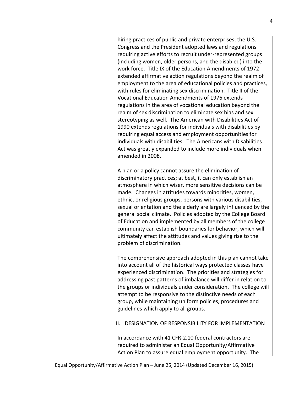| hiring practices of public and private enterprises, the U.S.<br>Congress and the President adopted laws and regulations<br>requiring active efforts to recruit under-represented groups<br>(including women, older persons, and the disabled) into the<br>work force. Title IX of the Education Amendments of 1972<br>extended affirmative action regulations beyond the realm of<br>employment to the area of educational policies and practices,<br>with rules for eliminating sex discrimination. Title II of the<br>Vocational Education Amendments of 1976 extends<br>regulations in the area of vocational education beyond the<br>realm of sex discrimination to eliminate sex bias and sex<br>stereotyping as well. The American with Disabilities Act of<br>1990 extends regulations for individuals with disabilities by<br>requiring equal access and employment opportunities for<br>individuals with disabilities. The Americans with Disabilities<br>Act was greatly expanded to include more individuals when<br>amended in 2008. |
|--------------------------------------------------------------------------------------------------------------------------------------------------------------------------------------------------------------------------------------------------------------------------------------------------------------------------------------------------------------------------------------------------------------------------------------------------------------------------------------------------------------------------------------------------------------------------------------------------------------------------------------------------------------------------------------------------------------------------------------------------------------------------------------------------------------------------------------------------------------------------------------------------------------------------------------------------------------------------------------------------------------------------------------------------|
| A plan or a policy cannot assure the elimination of<br>discriminatory practices; at best, it can only establish an<br>atmosphere in which wiser, more sensitive decisions can be<br>made. Changes in attitudes towards minorities, women,<br>ethnic, or religious groups, persons with various disabilities,<br>sexual orientation and the elderly are largely influenced by the<br>general social climate. Policies adopted by the College Board<br>of Education and implemented by all members of the college<br>community can establish boundaries for behavior, which will<br>ultimately affect the attitudes and values giving rise to the<br>problem of discrimination.                                                                                                                                                                                                                                                                                                                                                                    |
| The comprehensive approach adopted in this plan cannot take<br>into account all of the historical ways protected classes have<br>experienced discrimination. The priorities and strategies for<br>addressing past patterns of imbalance will differ in relation to<br>the groups or individuals under consideration. The college will<br>attempt to be responsive to the distinctive needs of each<br>group, while maintaining uniform policies, procedures and<br>guidelines which apply to all groups.                                                                                                                                                                                                                                                                                                                                                                                                                                                                                                                                         |
| DESIGNATION OF RESPONSIBILITY FOR IMPLEMENTATION<br>Ш.                                                                                                                                                                                                                                                                                                                                                                                                                                                                                                                                                                                                                                                                                                                                                                                                                                                                                                                                                                                           |
| In accordance with 41 CFR-2.10 federal contractors are<br>required to administer an Equal Opportunity/Affirmative<br>Action Plan to assure equal employment opportunity. The                                                                                                                                                                                                                                                                                                                                                                                                                                                                                                                                                                                                                                                                                                                                                                                                                                                                     |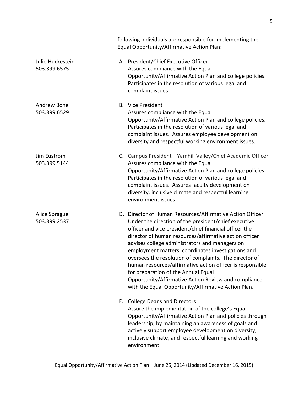|                                  | following individuals are responsible for implementing the                                                                                                                                                                                                                                                                                                                                                                                                                                                                                                                                                                 |
|----------------------------------|----------------------------------------------------------------------------------------------------------------------------------------------------------------------------------------------------------------------------------------------------------------------------------------------------------------------------------------------------------------------------------------------------------------------------------------------------------------------------------------------------------------------------------------------------------------------------------------------------------------------------|
|                                  | Equal Opportunity/Affirmative Action Plan:                                                                                                                                                                                                                                                                                                                                                                                                                                                                                                                                                                                 |
| Julie Huckestein<br>503.399.6575 | A. President/Chief Executive Officer<br>Assures compliance with the Equal<br>Opportunity/Affirmative Action Plan and college policies.<br>Participates in the resolution of various legal and<br>complaint issues.                                                                                                                                                                                                                                                                                                                                                                                                         |
| Andrew Bone<br>503.399.6529      | <b>B.</b> Vice President<br>Assures compliance with the Equal<br>Opportunity/Affirmative Action Plan and college policies.<br>Participates in the resolution of various legal and<br>complaint issues. Assures employee development on<br>diversity and respectful working environment issues.                                                                                                                                                                                                                                                                                                                             |
| Jim Eustrom<br>503.399.5144      | Campus President-Yamhill Valley/Chief Academic Officer<br>$C_{\cdot}$<br>Assures compliance with the Equal<br>Opportunity/Affirmative Action Plan and college policies.<br>Participates in the resolution of various legal and<br>complaint issues. Assures faculty development on<br>diversity, inclusive climate and respectful learning<br>environment issues.                                                                                                                                                                                                                                                          |
| Alice Sprague<br>503.399.2537    | D. Director of Human Resources/Affirmative Action Officer<br>Under the direction of the president/chief executive<br>officer and vice president/chief financial officer the<br>director of human resources/affirmative action officer<br>advises college administrators and managers on<br>employment matters, coordinates investigations and<br>oversees the resolution of complaints. The director of<br>human resources/affirmative action officer is responsible<br>for preparation of the Annual Equal<br>Opportunity/Affirmative Action Review and compliance<br>with the Equal Opportunity/Affirmative Action Plan. |
|                                  | <b>College Deans and Directors</b><br>Е.<br>Assure the implementation of the college's Equal<br>Opportunity/Affirmative Action Plan and policies through<br>leadership, by maintaining an awareness of goals and<br>actively support employee development on diversity,<br>inclusive climate, and respectful learning and working<br>environment.                                                                                                                                                                                                                                                                          |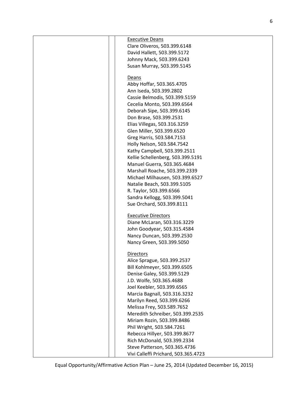| <b>Executive Deans</b>               |
|--------------------------------------|
| Clare Oliveros, 503.399.6148         |
| David Hallett, 503.399.5172          |
| Johnny Mack, 503.399.6243            |
| Susan Murray, 503.399.5145           |
| Deans                                |
| Abby Hoffar, 503.365.4705            |
| Ann Iseda, 503.399.2802              |
| Cassie Belmodis, 503.399.5159        |
| Cecelia Monto, 503.399.6564          |
| Deborah Sipe, 503.399.6145           |
| Don Brase, 503.399.2531              |
| Elias Villegas, 503.316.3259         |
| Glen Miller, 503.399.6520            |
| Greg Harris, 503.584.7153            |
| Holly Nelson, 503.584.7542           |
| Kathy Campbell, 503.399.2511         |
| Kellie Schellenberg, 503.399.5191    |
| Manuel Guerra, 503.365.4684          |
| Marshall Roache, 503.399.2339        |
| Michael Milhausen, 503.399.6527      |
| Natalie Beach, 503.399.5105          |
| R. Taylor, 503.399.6566              |
| Sandra Kellogg, 503.399.5041         |
| Sue Orchard, 503.399.8111            |
| <b>Executive Directors</b>           |
| Diane McLaran, 503.316.3229          |
| John Goodyear, 503.315.4584          |
| Nancy Duncan, 503.399.2530           |
| Nancy Green, 503.399.5050            |
| <b>Directors</b>                     |
| Alice Sprague, 503.399.2537          |
| Bill Kohlmeyer, 503.399.6505         |
| Denise Galey, 503.399.5129           |
| J.D. Wolfe, 503.365.4688             |
| Joel Keebler, 503.399.6565           |
| Marcia Bagnall, 503.316.3232         |
| Marilyn Reed, 503.399.6266           |
| Melissa Frey, 503.589.7652           |
| Meredith Schreiber, 503.399.2535     |
| Miriam Rozin, 503.399.8486           |
| Phil Wright, 503.584.7261            |
| Rebecca Hillyer, 503.399.8677        |
| Rich McDonald, 503.399.2334          |
| Steve Patterson, 503.365.4736        |
| Vivi Calleffi Prichard, 503.365.4723 |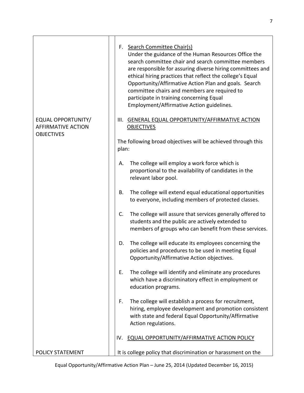|                                                                             | Search Committee Chair(s)<br>F.<br>Under the guidance of the Human Resources Office the<br>search committee chair and search committee members<br>are responsible for assuring diverse hiring committees and<br>ethical hiring practices that reflect the college's Equal<br>Opportunity/Affirmative Action Plan and goals. Search<br>committee chairs and members are required to<br>participate in training concerning Equal<br>Employment/Affirmative Action guidelines. |
|-----------------------------------------------------------------------------|-----------------------------------------------------------------------------------------------------------------------------------------------------------------------------------------------------------------------------------------------------------------------------------------------------------------------------------------------------------------------------------------------------------------------------------------------------------------------------|
| <b>EQUAL OPPORTUNITY/</b><br><b>AFFIRMATIVE ACTION</b><br><b>OBJECTIVES</b> | GENERAL EQUAL OPPORTUNITY/AFFIRMATIVE ACTION<br>III.<br><b>OBJECTIVES</b>                                                                                                                                                                                                                                                                                                                                                                                                   |
|                                                                             | The following broad objectives will be achieved through this<br>plan:                                                                                                                                                                                                                                                                                                                                                                                                       |
|                                                                             | The college will employ a work force which is<br>А.<br>proportional to the availability of candidates in the<br>relevant labor pool.                                                                                                                                                                                                                                                                                                                                        |
|                                                                             | The college will extend equal educational opportunities<br>В.<br>to everyone, including members of protected classes.                                                                                                                                                                                                                                                                                                                                                       |
|                                                                             | C.<br>The college will assure that services generally offered to<br>students and the public are actively extended to<br>members of groups who can benefit from these services.                                                                                                                                                                                                                                                                                              |
|                                                                             | The college will educate its employees concerning the<br>D.<br>policies and procedures to be used in meeting Equal<br>Opportunity/Affirmative Action objectives.                                                                                                                                                                                                                                                                                                            |
|                                                                             | The college will identify and eliminate any procedures<br>Е.<br>which have a discriminatory effect in employment or<br>education programs.                                                                                                                                                                                                                                                                                                                                  |
|                                                                             | The college will establish a process for recruitment,<br>F.<br>hiring, employee development and promotion consistent<br>with state and federal Equal Opportunity/Affirmative<br>Action regulations.                                                                                                                                                                                                                                                                         |
|                                                                             | <b>EQUAL OPPORTUNITY/AFFIRMATIVE ACTION POLICY</b><br>IV.                                                                                                                                                                                                                                                                                                                                                                                                                   |
| POLICY STATEMENT                                                            | It is college policy that discrimination or harassment on the                                                                                                                                                                                                                                                                                                                                                                                                               |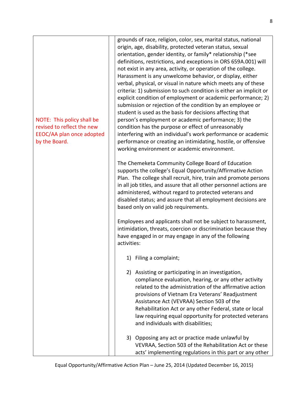| NOTE: This policy shall be<br>revised to reflect the new<br>EEOC/AA plan once adopted<br>by the Board. | grounds of race, religion, color, sex, marital status, national<br>origin, age, disability, protected veteran status, sexual<br>orientation, gender identity, or family* relationship (*see<br>definitions, restrictions, and exceptions in ORS 659A.001) will<br>not exist in any area, activity, or operation of the college.<br>Harassment is any unwelcome behavior, or display, either<br>verbal, physical, or visual in nature which meets any of these<br>criteria: 1) submission to such condition is either an implicit or<br>explicit condition of employment or academic performance; 2)<br>submission or rejection of the condition by an employee or<br>student is used as the basis for decisions affecting that<br>person's employment or academic performance; 3) the<br>condition has the purpose or effect of unreasonably<br>interfering with an individual's work performance or academic<br>performance or creating an intimidating, hostile, or offensive<br>working environment or academic environment. |
|--------------------------------------------------------------------------------------------------------|---------------------------------------------------------------------------------------------------------------------------------------------------------------------------------------------------------------------------------------------------------------------------------------------------------------------------------------------------------------------------------------------------------------------------------------------------------------------------------------------------------------------------------------------------------------------------------------------------------------------------------------------------------------------------------------------------------------------------------------------------------------------------------------------------------------------------------------------------------------------------------------------------------------------------------------------------------------------------------------------------------------------------------|
|                                                                                                        | The Chemeketa Community College Board of Education<br>supports the college's Equal Opportunity/Affirmative Action<br>Plan. The college shall recruit, hire, train and promote persons<br>in all job titles, and assure that all other personnel actions are<br>administered, without regard to protected veterans and<br>disabled status; and assure that all employment decisions are<br>based only on valid job requirements.                                                                                                                                                                                                                                                                                                                                                                                                                                                                                                                                                                                                 |
|                                                                                                        | Employees and applicants shall not be subject to harassment,<br>intimidation, threats, coercion or discrimination because they<br>have engaged in or may engage in any of the following<br>activities:                                                                                                                                                                                                                                                                                                                                                                                                                                                                                                                                                                                                                                                                                                                                                                                                                          |
|                                                                                                        | Filing a complaint;<br>1)                                                                                                                                                                                                                                                                                                                                                                                                                                                                                                                                                                                                                                                                                                                                                                                                                                                                                                                                                                                                       |
|                                                                                                        | Assisting or participating in an investigation,<br>2)<br>compliance evaluation, hearing, or any other activity<br>related to the administration of the affirmative action<br>provisions of Vietnam Era Veterans' Readjustment<br>Assistance Act (VEVRAA) Section 503 of the<br>Rehabilitation Act or any other Federal, state or local<br>law requiring equal opportunity for protected veterans<br>and individuals with disabilities;                                                                                                                                                                                                                                                                                                                                                                                                                                                                                                                                                                                          |
|                                                                                                        | Opposing any act or practice made unlawful by<br>3)<br>VEVRAA, Section 503 of the Rehabilitation Act or these<br>acts' implementing regulations in this part or any other                                                                                                                                                                                                                                                                                                                                                                                                                                                                                                                                                                                                                                                                                                                                                                                                                                                       |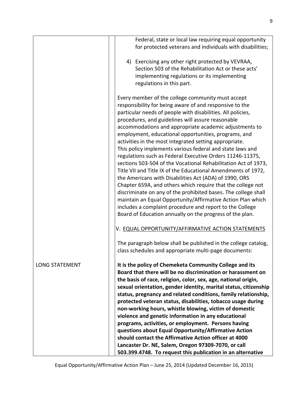|                       | Federal, state or local law requiring equal opportunity<br>for protected veterans and individuals with disabilities;                                                                                                                                                                                                                                                                                                                                                                                                                                                                                                                                                                                                                                                                                                                                                                                                                                                                                                                                        |
|-----------------------|-------------------------------------------------------------------------------------------------------------------------------------------------------------------------------------------------------------------------------------------------------------------------------------------------------------------------------------------------------------------------------------------------------------------------------------------------------------------------------------------------------------------------------------------------------------------------------------------------------------------------------------------------------------------------------------------------------------------------------------------------------------------------------------------------------------------------------------------------------------------------------------------------------------------------------------------------------------------------------------------------------------------------------------------------------------|
|                       | 4) Exercising any other right protected by VEVRAA,<br>Section 503 of the Rehabilitation Act or these acts'<br>implementing regulations or its implementing<br>regulations in this part.                                                                                                                                                                                                                                                                                                                                                                                                                                                                                                                                                                                                                                                                                                                                                                                                                                                                     |
|                       | Every member of the college community must accept<br>responsibility for being aware of and responsive to the<br>particular needs of people with disabilities. All policies,<br>procedures, and guidelines will assure reasonable<br>accommodations and appropriate academic adjustments to<br>employment, educational opportunities, programs, and<br>activities in the most integrated setting appropriate.<br>This policy implements various federal and state laws and<br>regulations such as Federal Executive Orders 11246-11375,<br>sections 503-504 of the Vocational Rehabilitation Act of 1973,<br>Title VII and Title IX of the Educational Amendments of 1972,<br>the Americans with Disabilities Act (ADA) of 1990, ORS<br>Chapter 659A, and others which require that the college not<br>discriminate on any of the prohibited bases. The college shall<br>maintain an Equal Opportunity/Affirmative Action Plan which<br>includes a complaint procedure and report to the College<br>Board of Education annually on the progress of the plan. |
|                       | V. EQUAL OPPORTUNITY/AFFIRMATIVE ACTION STATEMENTS                                                                                                                                                                                                                                                                                                                                                                                                                                                                                                                                                                                                                                                                                                                                                                                                                                                                                                                                                                                                          |
|                       | The paragraph below shall be published in the college catalog,<br>class schedules and appropriate multi-page documents:                                                                                                                                                                                                                                                                                                                                                                                                                                                                                                                                                                                                                                                                                                                                                                                                                                                                                                                                     |
| <b>LONG STATEMENT</b> | It is the policy of Chemeketa Community College and its<br>Board that there will be no discrimination or harassment on<br>the basis of race, religion, color, sex, age, national origin,<br>sexual orientation, gender identity, marital status, citizenship<br>status, pregnancy and related conditions, family relationship,<br>protected veteran status, disabilities, tobacco usage during<br>non-working hours, whistle blowing, victim of domestic<br>violence and genetic information in any educational<br>programs, activities, or employment. Persons having<br>questions about Equal Opportunity/Affirmative Action<br>should contact the Affirmative Action officer at 4000<br>Lancaster Dr. NE, Salem, Oregon 97309-7070, or call<br>503.399.4748. To request this publication in an alternative                                                                                                                                                                                                                                               |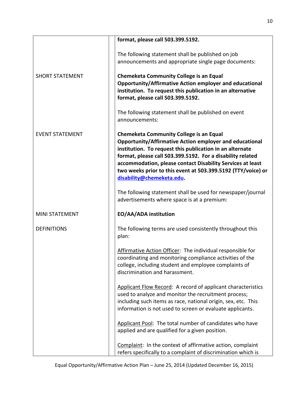|                        | format, please call 503.399.5192.                             |
|------------------------|---------------------------------------------------------------|
|                        | The following statement shall be published on job             |
|                        | announcements and appropriate single page documents:          |
|                        |                                                               |
| <b>SHORT STATEMENT</b> | <b>Chemeketa Community College is an Equal</b>                |
|                        | Opportunity/Affirmative Action employer and educational       |
|                        | institution. To request this publication in an alternative    |
|                        | format, please call 503.399.5192.                             |
|                        |                                                               |
|                        | The following statement shall be published on event           |
|                        | announcements:                                                |
|                        |                                                               |
| <b>EVENT STATEMENT</b> | <b>Chemeketa Community College is an Equal</b>                |
|                        | Opportunity/Affirmative Action employer and educational       |
|                        | institution. To request this publication in an alternate      |
|                        | format, please call 503.399.5192. For a disability related    |
|                        | accommodation, please contact Disability Services at least    |
|                        | two weeks prior to this event at 503.399.5192 (TTY/voice) or  |
|                        | disability@chemeketa.edu.                                     |
|                        |                                                               |
|                        | The following statement shall be used for newspaper/journal   |
|                        | advertisements where space is at a premium:                   |
|                        |                                                               |
| <b>MINI STATEMENT</b>  | EO/AA/ADA institution                                         |
|                        |                                                               |
| <b>DEFINITIONS</b>     | The following terms are used consistently throughout this     |
|                        | plan:                                                         |
|                        |                                                               |
|                        | Affirmative Action Officer: The individual responsible for    |
|                        | coordinating and monitoring compliance activities of the      |
|                        | college, including student and employee complaints of         |
|                        | discrimination and harassment.                                |
|                        |                                                               |
|                        | Applicant Flow Record: A record of applicant characteristics  |
|                        | used to analyze and monitor the recruitment process;          |
|                        | including such items as race, national origin, sex, etc. This |
|                        | information is not used to screen or evaluate applicants.     |
|                        |                                                               |
|                        | Applicant Pool: The total number of candidates who have       |
|                        | applied and are qualified for a given position.               |
|                        |                                                               |
|                        | Complaint: In the context of affirmative action, complaint    |
|                        | refers specifically to a complaint of discrimination which is |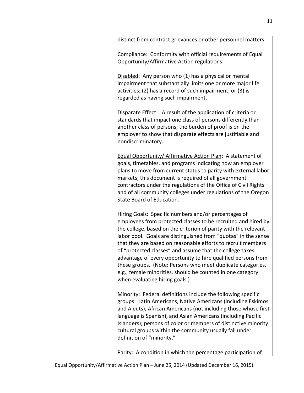| distinct from contract grievances or other personnel matters.                                                                                                                                                                                                                                                                                                                                                                                                                                                                                                                                                          |
|------------------------------------------------------------------------------------------------------------------------------------------------------------------------------------------------------------------------------------------------------------------------------------------------------------------------------------------------------------------------------------------------------------------------------------------------------------------------------------------------------------------------------------------------------------------------------------------------------------------------|
| Compliance: Conformity with official requirements of Equal<br>Opportunity/Affirmative Action regulations.                                                                                                                                                                                                                                                                                                                                                                                                                                                                                                              |
| Disabled: Any person who (1) has a physical or mental<br>impairment that substantially limits one or more major life<br>activities; (2) has a record of such impairment; or (3) is<br>regarded as having such impairment.                                                                                                                                                                                                                                                                                                                                                                                              |
| Disparate Effect: A result of the application of criteria or<br>standards that impact one class of persons differently than<br>another class of persons; the burden of proof is on the<br>employer to show that disparate effects are justifiable and<br>nondiscriminatory.                                                                                                                                                                                                                                                                                                                                            |
| Equal Opportunity/ Affirmative Action Plan: A statement of<br>goals, timetables, and programs indicating how an employer<br>plans to move from current status to parity with external labor<br>markets; this document is required of all government<br>contractors under the regulations of the Office of Civil Rights<br>and of all community colleges under regulations of the Oregon<br>State Board of Education.                                                                                                                                                                                                   |
| Hiring Goals: Specific numbers and/or percentages of<br>employees from protected classes to be recruited and hired by<br>the college, based on the criterion of parity with the relevant<br>labor pool. Goals are distinguished from "quotas" in the sense<br>that they are based on reasonable efforts to recruit members<br>of "protected classes" and assume that the college takes<br>advantage of every opportunity to hire qualified persons from<br>these groups. (Note: Persons who meet duplicate categories,<br>e.g., female minorities, should be counted in one category<br>when evaluating hiring goals.) |
| Minority: Federal definitions include the following specific<br>groups: Latin Americans, Native Americans (including Eskimos<br>and Aleuts), African Americans (not including those whose first<br>language is Spanish), and Asian Americans (including Pacific<br>Islanders); persons of color or members of distinctive minority<br>cultural groups within the community usually fall under<br>definition of "minority."                                                                                                                                                                                             |
| Parity: A condition in which the percentage participation of                                                                                                                                                                                                                                                                                                                                                                                                                                                                                                                                                           |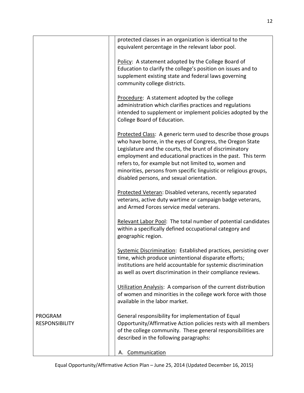|                                         | protected classes in an organization is identical to the<br>equivalent percentage in the relevant labor pool.                                                                                                                                                                                                                                                                                                                  |
|-----------------------------------------|--------------------------------------------------------------------------------------------------------------------------------------------------------------------------------------------------------------------------------------------------------------------------------------------------------------------------------------------------------------------------------------------------------------------------------|
|                                         | Policy: A statement adopted by the College Board of<br>Education to clarify the college's position on issues and to<br>supplement existing state and federal laws governing<br>community college districts.                                                                                                                                                                                                                    |
|                                         | Procedure: A statement adopted by the college<br>administration which clarifies practices and regulations<br>intended to supplement or implement policies adopted by the<br>College Board of Education.                                                                                                                                                                                                                        |
|                                         | Protected Class: A generic term used to describe those groups<br>who have borne, in the eyes of Congress, the Oregon State<br>Legislature and the courts, the brunt of discriminatory<br>employment and educational practices in the past. This term<br>refers to, for example but not limited to, women and<br>minorities, persons from specific linguistic or religious groups,<br>disabled persons, and sexual orientation. |
|                                         | Protected Veteran: Disabled veterans, recently separated<br>veterans, active duty wartime or campaign badge veterans,<br>and Armed Forces service medal veterans.                                                                                                                                                                                                                                                              |
|                                         | Relevant Labor Pool: The total number of potential candidates<br>within a specifically defined occupational category and<br>geographic region.                                                                                                                                                                                                                                                                                 |
|                                         | Systemic Discrimination: Established practices, persisting over<br>time, which produce unintentional disparate efforts;<br>institutions are held accountable for systemic discrimination<br>as well as overt discrimination in their compliance reviews.                                                                                                                                                                       |
|                                         | Utilization Analysis: A comparison of the current distribution<br>of women and minorities in the college work force with those<br>available in the labor market.                                                                                                                                                                                                                                                               |
| <b>PROGRAM</b><br><b>RESPONSIBILITY</b> | General responsibility for implementation of Equal<br>Opportunity/Affirmative Action policies rests with all members<br>of the college community. These general responsibilities are<br>described in the following paragraphs:                                                                                                                                                                                                 |
|                                         | Communication<br>А.                                                                                                                                                                                                                                                                                                                                                                                                            |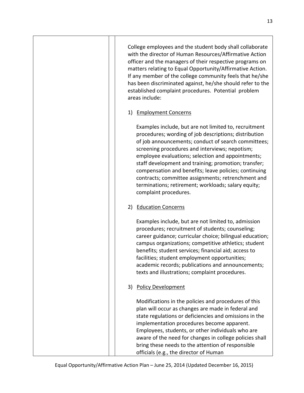College employees and the student body shall collaborate with the director of Human Resources/Affirmative Action officer and the managers of their respective programs on matters relating to Equal Opportunity/Affirmative Action. If any member of the college community feels that he/she has been discriminated against, he/she should refer to the established complaint procedures. Potential problem areas include:

1) Employment Concerns

Examples include, but are not limited to, recruitment procedures; wording of job descriptions; distribution of job announcements; conduct of search committees; screening procedures and interviews; nepotism; employee evaluations; selection and appointments; staff development and training; promotion; transfer; compensation and benefits; leave policies; continuing contracts; committee assignments; retrenchment and terminations; retirement; workloads; salary equity; complaint procedures.

### 2) Education Concerns

Examples include, but are not limited to, admission procedures; recruitment of students; counseling; career guidance; curricular choice; bilingual education; campus organizations; competitive athletics; student benefits; student services; financial aid; access to facilities; student employment opportunities; academic records; publications and announcements; texts and illustrations; complaint procedures.

### 3) Policy Development

Modifications in the policies and procedures of this plan will occur as changes are made in federal and state regulations or deficiencies and omissions in the implementation procedures become apparent. Employees, students, or other individuals who are aware of the need for changes in college policies shall bring these needs to the attention of responsible officials (e.g., the director of Human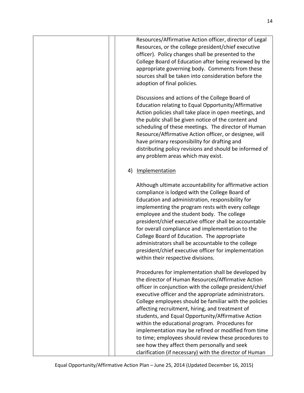|    | Resources/Affirmative Action officer, director of Legal<br>Resources, or the college president/chief executive<br>officer). Policy changes shall be presented to the<br>College Board of Education after being reviewed by the<br>appropriate governing body. Comments from these<br>sources shall be taken into consideration before the<br>adoption of final policies.                                                                                                                                                                                                                                                                                                     |
|----|------------------------------------------------------------------------------------------------------------------------------------------------------------------------------------------------------------------------------------------------------------------------------------------------------------------------------------------------------------------------------------------------------------------------------------------------------------------------------------------------------------------------------------------------------------------------------------------------------------------------------------------------------------------------------|
|    | Discussions and actions of the College Board of<br>Education relating to Equal Opportunity/Affirmative<br>Action policies shall take place in open meetings, and<br>the public shall be given notice of the content and<br>scheduling of these meetings. The director of Human<br>Resource/Affirmative Action officer, or designee, will<br>have primary responsibility for drafting and<br>distributing policy revisions and should be informed of<br>any problem areas which may exist.                                                                                                                                                                                    |
| 4) | Implementation                                                                                                                                                                                                                                                                                                                                                                                                                                                                                                                                                                                                                                                               |
|    | Although ultimate accountability for affirmative action<br>compliance is lodged with the College Board of<br>Education and administration, responsibility for<br>implementing the program rests with every college<br>employee and the student body. The college<br>president/chief executive officer shall be accountable<br>for overall compliance and implementation to the<br>College Board of Education. The appropriate<br>administrators shall be accountable to the college<br>president/chief executive officer for implementation<br>within their respective divisions.                                                                                            |
|    | Procedures for implementation shall be developed by<br>the director of Human Resources/Affirmative Action<br>officer in conjunction with the college president/chief<br>executive officer and the appropriate administrators.<br>College employees should be familiar with the policies<br>affecting recruitment, hiring, and treatment of<br>students, and Equal Opportunity/Affirmative Action<br>within the educational program. Procedures for<br>implementation may be refined or modified from time<br>to time; employees should review these procedures to<br>see how they affect them personally and seek<br>clarification (if necessary) with the director of Human |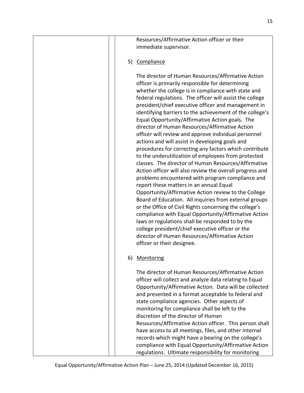|    | Resources/Affirmative Action officer or their<br>immediate supervisor.                                                                                                                                                                                                                                                                                                                                                                                                                                                                                                                                                                                                                                                                                                                                                                                                                                                                                                                                                                                                                                                                                                                                                                                                                                                       |
|----|------------------------------------------------------------------------------------------------------------------------------------------------------------------------------------------------------------------------------------------------------------------------------------------------------------------------------------------------------------------------------------------------------------------------------------------------------------------------------------------------------------------------------------------------------------------------------------------------------------------------------------------------------------------------------------------------------------------------------------------------------------------------------------------------------------------------------------------------------------------------------------------------------------------------------------------------------------------------------------------------------------------------------------------------------------------------------------------------------------------------------------------------------------------------------------------------------------------------------------------------------------------------------------------------------------------------------|
|    | 5) Compliance                                                                                                                                                                                                                                                                                                                                                                                                                                                                                                                                                                                                                                                                                                                                                                                                                                                                                                                                                                                                                                                                                                                                                                                                                                                                                                                |
|    | The director of Human Resources/Affirmative Action<br>officer is primarily responsible for determining<br>whether the college is in compliance with state and<br>federal regulations. The officer will assist the college<br>president/chief executive officer and management in<br>identifying barriers to the achievement of the college's<br>Equal Opportunity/Affirmative Action goals. The<br>director of Human Resources/Affirmative Action<br>officer will review and approve individual personnel<br>actions and will assist in developing goals and<br>procedures for correcting any factors which contribute<br>to the underutilization of employees from protected<br>classes. The director of Human Resources/Affirmative<br>Action officer will also review the overall progress and<br>problems encountered with program compliance and<br>report these matters in an annual Equal<br>Opportunity/Affirmative Action review to the College<br>Board of Education. All inquiries from external groups<br>or the Office of Civil Rights concerning the college's<br>compliance with Equal Opportunity/Affirmative Action<br>laws or regulations shall be responded to by the<br>college president/chief executive officer or the<br>director of Human Resources/Affirmative Action<br>officer or their designee. |
| 6) | Monitoring                                                                                                                                                                                                                                                                                                                                                                                                                                                                                                                                                                                                                                                                                                                                                                                                                                                                                                                                                                                                                                                                                                                                                                                                                                                                                                                   |
|    | The director of Human Resources/Affirmative Action<br>officer will collect and analyze data relating to Equal<br>Opportunity/Affirmative Action. Data will be collected<br>and presented in a format acceptable to federal and<br>state compliance agencies. Other aspects of<br>monitoring for compliance shall be left to the<br>discretion of the director of Human<br>Resources/Affirmative Action officer. This person shall<br>have access to all meetings, files, and other internal<br>records which might have a bearing on the college's<br>compliance with Equal Opportunity/Affirmative Action<br>regulations. Ultimate responsibility for monitoring                                                                                                                                                                                                                                                                                                                                                                                                                                                                                                                                                                                                                                                            |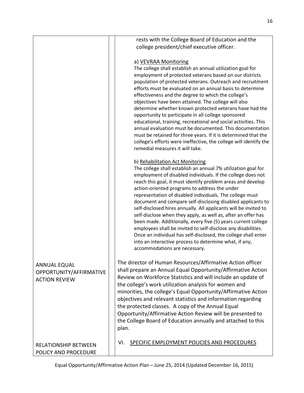|                                                                        | rests with the College Board of Education and the<br>college president/chief executive officer.                                                                                                                                                                                                                                                                                                                                                                                                                                                                                                                                                                                                                                                                                                                                                 |
|------------------------------------------------------------------------|-------------------------------------------------------------------------------------------------------------------------------------------------------------------------------------------------------------------------------------------------------------------------------------------------------------------------------------------------------------------------------------------------------------------------------------------------------------------------------------------------------------------------------------------------------------------------------------------------------------------------------------------------------------------------------------------------------------------------------------------------------------------------------------------------------------------------------------------------|
|                                                                        | a) VEVRAA Monitoring<br>The college shall establish an annual utilization goal for<br>employment of protected veterans based on our districts<br>population of protected veterans. Outreach and recruitment<br>efforts must be evaluated on an annual basis to determine<br>effectiveness and the degree to which the college's<br>objectives have been attained. The college will also<br>determine whether known protected veterans have had the<br>opportunity to participate in all college sponsored<br>educational, training, recreational and social activities. This<br>annual evaluation must be documented. This documentation<br>must be retained for three years. If it is determined that the<br>college's efforts were ineffective, the college will identify the<br>remedial measures it will take.                              |
|                                                                        | b) Rehabilitation Act Monitoring<br>The college shall establish an annual 7% utilization goal for<br>employment of disabled individuals. If the college does not<br>reach this goal, it must identify problem areas and develop<br>action-oriented programs to address the under<br>representation of disabled individuals. The college must<br>document and compare self-disclosing disabled applicants to<br>self-disclosed hires annually. All applicants will be invited to<br>self-disclose when they apply, as well as, after an offer has<br>been made. Additionally, every five (5) years current college<br>employees shall be invited to self-disclose any disabilities.<br>Once an individual has self-disclosed, the college shall enter<br>into an interactive process to determine what, if any,<br>accommodations are necessary. |
| <b>ANNUAL EQUAL</b><br>OPPORTUNITY/AFFIRMATIVE<br><b>ACTION REVIEW</b> | The director of Human Resources/Affirmative Action officer<br>shall prepare an Annual Equal Opportunity/Affirmative Action<br>Review on Workforce Statistics and will include an update of<br>the college's work utilization analysis for women and<br>minorities, the college's Equal Opportunity/Affirmative Action<br>objectives and relevant statistics and information regarding<br>the protected classes. A copy of the Annual Equal<br>Opportunity/Affirmative Action Review will be presented to<br>the College Board of Education annually and attached to this<br>plan.                                                                                                                                                                                                                                                               |
| <b>RELATIONSHIP BETWEEN</b><br>POLICY AND PROCEDURE                    | SPECIFIC EMPLOYMENT POLICIES AND PROCEDURES<br>VI.                                                                                                                                                                                                                                                                                                                                                                                                                                                                                                                                                                                                                                                                                                                                                                                              |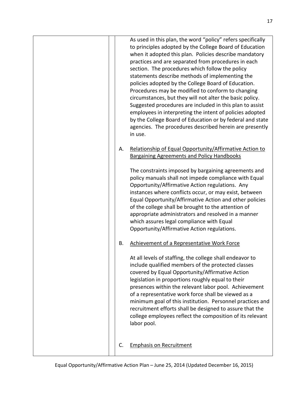|    | As used in this plan, the word "policy" refers specifically<br>to principles adopted by the College Board of Education<br>when it adopted this plan. Policies describe mandatory<br>practices and are separated from procedures in each<br>section. The procedures which follow the policy<br>statements describe methods of implementing the<br>policies adopted by the College Board of Education.<br>Procedures may be modified to conform to changing<br>circumstances, but they will not alter the basic policy.<br>Suggested procedures are included in this plan to assist<br>employees in interpreting the intent of policies adopted<br>by the College Board of Education or by federal and state<br>agencies. The procedures described herein are presently<br>in use. |
|----|----------------------------------------------------------------------------------------------------------------------------------------------------------------------------------------------------------------------------------------------------------------------------------------------------------------------------------------------------------------------------------------------------------------------------------------------------------------------------------------------------------------------------------------------------------------------------------------------------------------------------------------------------------------------------------------------------------------------------------------------------------------------------------|
| Α. | Relationship of Equal Opportunity/Affirmative Action to<br><b>Bargaining Agreements and Policy Handbooks</b>                                                                                                                                                                                                                                                                                                                                                                                                                                                                                                                                                                                                                                                                     |
|    | The constraints imposed by bargaining agreements and<br>policy manuals shall not impede compliance with Equal<br>Opportunity/Affirmative Action regulations. Any<br>instances where conflicts occur, or may exist, between<br>Equal Opportunity/Affirmative Action and other policies<br>of the college shall be brought to the attention of<br>appropriate administrators and resolved in a manner<br>which assures legal compliance with Equal<br>Opportunity/Affirmative Action regulations.                                                                                                                                                                                                                                                                                  |
| В. | Achievement of a Representative Work Force                                                                                                                                                                                                                                                                                                                                                                                                                                                                                                                                                                                                                                                                                                                                       |
|    | At all levels of staffing, the college shall endeavor to<br>include qualified members of the protected classes<br>covered by Equal Opportunity/Affirmative Action<br>legislation in proportions roughly equal to their<br>presences within the relevant labor pool. Achievement<br>of a representative work force shall be viewed as a<br>minimum goal of this institution. Personnel practices and<br>recruitment efforts shall be designed to assure that the<br>college employees reflect the composition of its relevant<br>labor pool.                                                                                                                                                                                                                                      |
| C. | <b>Emphasis on Recruitment</b>                                                                                                                                                                                                                                                                                                                                                                                                                                                                                                                                                                                                                                                                                                                                                   |
|    |                                                                                                                                                                                                                                                                                                                                                                                                                                                                                                                                                                                                                                                                                                                                                                                  |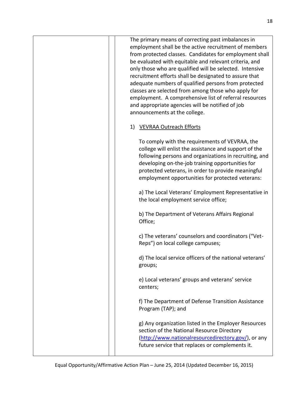| The primary means of correcting past imbalances in<br>employment shall be the active recruitment of members<br>from protected classes. Candidates for employment shall<br>be evaluated with equitable and relevant criteria, and<br>only those who are qualified will be selected. Intensive<br>recruitment efforts shall be designated to assure that<br>adequate numbers of qualified persons from protected<br>classes are selected from among those who apply for<br>employment. A comprehensive list of referral resources<br>and appropriate agencies will be notified of job<br>announcements at the college. |
|----------------------------------------------------------------------------------------------------------------------------------------------------------------------------------------------------------------------------------------------------------------------------------------------------------------------------------------------------------------------------------------------------------------------------------------------------------------------------------------------------------------------------------------------------------------------------------------------------------------------|
| <b>VEVRAA Outreach Efforts</b>                                                                                                                                                                                                                                                                                                                                                                                                                                                                                                                                                                                       |
| To comply with the requirements of VEVRAA, the<br>college will enlist the assistance and support of the<br>following persons and organizations in recruiting, and<br>developing on-the-job training opportunities for<br>protected veterans, in order to provide meaningful<br>employment opportunities for protected veterans:                                                                                                                                                                                                                                                                                      |
| a) The Local Veterans' Employment Representative in<br>the local employment service office;                                                                                                                                                                                                                                                                                                                                                                                                                                                                                                                          |
| b) The Department of Veterans Affairs Regional<br>Office;                                                                                                                                                                                                                                                                                                                                                                                                                                                                                                                                                            |
| c) The veterans' counselors and coordinators ("Vet-<br>Reps") on local college campuses;                                                                                                                                                                                                                                                                                                                                                                                                                                                                                                                             |
| d) The local service officers of the national veterans'<br>groups;                                                                                                                                                                                                                                                                                                                                                                                                                                                                                                                                                   |
| e) Local veterans' groups and veterans' service<br>centers;                                                                                                                                                                                                                                                                                                                                                                                                                                                                                                                                                          |
| f) The Department of Defense Transition Assistance<br>Program (TAP); and                                                                                                                                                                                                                                                                                                                                                                                                                                                                                                                                             |
| g) Any organization listed in the Employer Resources<br>section of the National Resource Directory<br>(http://www.nationalresourcedirectory.gov/), or any<br>future service that replaces or complements it.                                                                                                                                                                                                                                                                                                                                                                                                         |
|                                                                                                                                                                                                                                                                                                                                                                                                                                                                                                                                                                                                                      |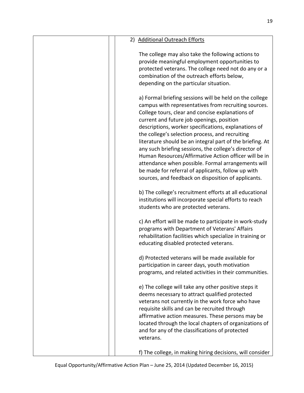| 2) Additional Outreach Efforts                                                                                                                                                                                                                                                                                                                                                                                                                                                                                                                                                                                                                                                |
|-------------------------------------------------------------------------------------------------------------------------------------------------------------------------------------------------------------------------------------------------------------------------------------------------------------------------------------------------------------------------------------------------------------------------------------------------------------------------------------------------------------------------------------------------------------------------------------------------------------------------------------------------------------------------------|
|                                                                                                                                                                                                                                                                                                                                                                                                                                                                                                                                                                                                                                                                               |
| The college may also take the following actions to<br>provide meaningful employment opportunities to<br>protected veterans. The college need not do any or a<br>combination of the outreach efforts below,<br>depending on the particular situation.                                                                                                                                                                                                                                                                                                                                                                                                                          |
| a) Formal briefing sessions will be held on the college<br>campus with representatives from recruiting sources.<br>College tours, clear and concise explanations of<br>current and future job openings, position<br>descriptions, worker specifications, explanations of<br>the college's selection process, and recruiting<br>literature should be an integral part of the briefing. At<br>any such briefing sessions, the college's director of<br>Human Resources/Affirmative Action officer will be in<br>attendance when possible. Formal arrangements will<br>be made for referral of applicants, follow up with<br>sources, and feedback on disposition of applicants. |
| b) The college's recruitment efforts at all educational<br>institutions will incorporate special efforts to reach<br>students who are protected veterans.                                                                                                                                                                                                                                                                                                                                                                                                                                                                                                                     |
| c) An effort will be made to participate in work-study<br>programs with Department of Veterans' Affairs<br>rehabilitation facilities which specialize in training or<br>educating disabled protected veterans.                                                                                                                                                                                                                                                                                                                                                                                                                                                                |
| d) Protected veterans will be made available for<br>participation in career days, youth motivation<br>programs, and related activities in their communities.                                                                                                                                                                                                                                                                                                                                                                                                                                                                                                                  |
| e) The college will take any other positive steps it<br>deems necessary to attract qualified protected<br>veterans not currently in the work force who have<br>requisite skills and can be recruited through<br>affirmative action measures. These persons may be<br>located through the local chapters of organizations of<br>and for any of the classifications of protected<br>veterans.                                                                                                                                                                                                                                                                                   |
| f) The college, in making hiring decisions, will consider                                                                                                                                                                                                                                                                                                                                                                                                                                                                                                                                                                                                                     |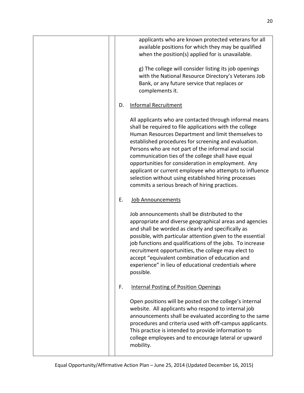|    | applicants who are known protected veterans for all<br>available positions for which they may be qualified<br>when the position(s) applied for is unavailable.                                                                                                                                                                                                                                                                                                                                                                                                          |
|----|-------------------------------------------------------------------------------------------------------------------------------------------------------------------------------------------------------------------------------------------------------------------------------------------------------------------------------------------------------------------------------------------------------------------------------------------------------------------------------------------------------------------------------------------------------------------------|
|    | g) The college will consider listing its job openings<br>with the National Resource Directory's Veterans Job<br>Bank, or any future service that replaces or<br>complements it.                                                                                                                                                                                                                                                                                                                                                                                         |
| D. | <b>Informal Recruitment</b>                                                                                                                                                                                                                                                                                                                                                                                                                                                                                                                                             |
|    | All applicants who are contacted through informal means<br>shall be required to file applications with the college<br>Human Resources Department and limit themselves to<br>established procedures for screening and evaluation.<br>Persons who are not part of the informal and social<br>communication ties of the college shall have equal<br>opportunities for consideration in employment. Any<br>applicant or current employee who attempts to influence<br>selection without using established hiring processes<br>commits a serious breach of hiring practices. |
| Ε. | Job Announcements                                                                                                                                                                                                                                                                                                                                                                                                                                                                                                                                                       |
|    | Job announcements shall be distributed to the<br>appropriate and diverse geographical areas and agencies<br>and shall be worded as clearly and specifically as<br>possible, with particular attention given to the essential<br>job functions and qualifications of the jobs. To increase<br>recruitment opportunities, the college may elect to<br>accept "equivalent combination of education and<br>experience" in lieu of educational credentials where<br>possible.                                                                                                |
| F. | <b>Internal Posting of Position Openings</b>                                                                                                                                                                                                                                                                                                                                                                                                                                                                                                                            |
|    | Open positions will be posted on the college's internal<br>website. All applicants who respond to internal job<br>announcements shall be evaluated according to the same<br>procedures and criteria used with off-campus applicants.<br>This practice is intended to provide information to<br>college employees and to encourage lateral or upward<br>mobility.                                                                                                                                                                                                        |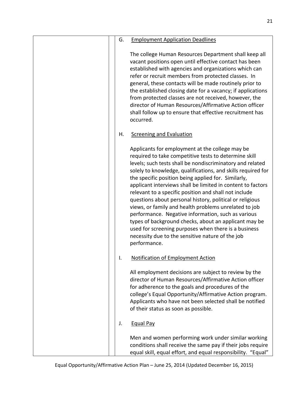| <b>Employment Application Deadlines</b><br>G.                                                                                                                                                                                                                                                                                                                                                                                                                                                                                                                                                                                                                                                                                                                                        |
|--------------------------------------------------------------------------------------------------------------------------------------------------------------------------------------------------------------------------------------------------------------------------------------------------------------------------------------------------------------------------------------------------------------------------------------------------------------------------------------------------------------------------------------------------------------------------------------------------------------------------------------------------------------------------------------------------------------------------------------------------------------------------------------|
| The college Human Resources Department shall keep all<br>vacant positions open until effective contact has been<br>established with agencies and organizations which can<br>refer or recruit members from protected classes. In<br>general, these contacts will be made routinely prior to<br>the established closing date for a vacancy; if applications<br>from protected classes are not received, however, the<br>director of Human Resources/Affirmative Action officer<br>shall follow up to ensure that effective recruitment has<br>occurred.                                                                                                                                                                                                                                |
| Η.<br><b>Screening and Evaluation</b>                                                                                                                                                                                                                                                                                                                                                                                                                                                                                                                                                                                                                                                                                                                                                |
| Applicants for employment at the college may be<br>required to take competitive tests to determine skill<br>levels; such tests shall be nondiscriminatory and related<br>solely to knowledge, qualifications, and skills required for<br>the specific position being applied for. Similarly,<br>applicant interviews shall be limited in content to factors<br>relevant to a specific position and shall not include<br>questions about personal history, political or religious<br>views, or family and health problems unrelated to job<br>performance. Negative information, such as various<br>types of background checks, about an applicant may be<br>used for screening purposes when there is a business<br>necessity due to the sensitive nature of the job<br>performance. |
| <b>Notification of Employment Action</b><br>۱.                                                                                                                                                                                                                                                                                                                                                                                                                                                                                                                                                                                                                                                                                                                                       |
| All employment decisions are subject to review by the<br>director of Human Resources/Affirmative Action officer<br>for adherence to the goals and procedures of the<br>college's Equal Opportunity/Affirmative Action program.<br>Applicants who have not been selected shall be notified<br>of their status as soon as possible.                                                                                                                                                                                                                                                                                                                                                                                                                                                    |
| <b>Equal Pay</b><br>J.                                                                                                                                                                                                                                                                                                                                                                                                                                                                                                                                                                                                                                                                                                                                                               |
| Men and women performing work under similar working<br>conditions shall receive the same pay if their jobs require<br>equal skill, equal effort, and equal responsibility. "Equal"                                                                                                                                                                                                                                                                                                                                                                                                                                                                                                                                                                                                   |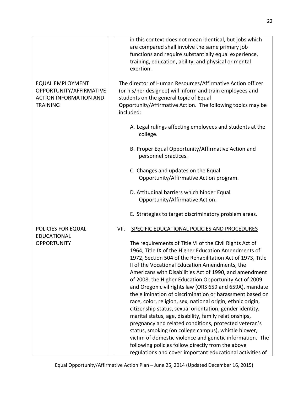|                                                                                                        | in this context does not mean identical, but jobs which<br>are compared shall involve the same primary job<br>functions and require substantially equal experience,<br>training, education, ability, and physical or mental<br>exertion.                                                                                                                                                                                                                                                                                                                                                                                                                                                                                                                                                                                                                                                                                                                      |
|--------------------------------------------------------------------------------------------------------|---------------------------------------------------------------------------------------------------------------------------------------------------------------------------------------------------------------------------------------------------------------------------------------------------------------------------------------------------------------------------------------------------------------------------------------------------------------------------------------------------------------------------------------------------------------------------------------------------------------------------------------------------------------------------------------------------------------------------------------------------------------------------------------------------------------------------------------------------------------------------------------------------------------------------------------------------------------|
| <b>EQUAL EMPLOYMENT</b><br>OPPORTUNITY/AFFIRMATIVE<br><b>ACTION INFORMATION AND</b><br><b>TRAINING</b> | The director of Human Resources/Affirmative Action officer<br>(or his/her designee) will inform and train employees and<br>students on the general topic of Equal<br>Opportunity/Affirmative Action. The following topics may be<br>included:                                                                                                                                                                                                                                                                                                                                                                                                                                                                                                                                                                                                                                                                                                                 |
|                                                                                                        | A. Legal rulings affecting employees and students at the<br>college.                                                                                                                                                                                                                                                                                                                                                                                                                                                                                                                                                                                                                                                                                                                                                                                                                                                                                          |
|                                                                                                        | B. Proper Equal Opportunity/Affirmative Action and<br>personnel practices.                                                                                                                                                                                                                                                                                                                                                                                                                                                                                                                                                                                                                                                                                                                                                                                                                                                                                    |
|                                                                                                        | C. Changes and updates on the Equal<br>Opportunity/Affirmative Action program.                                                                                                                                                                                                                                                                                                                                                                                                                                                                                                                                                                                                                                                                                                                                                                                                                                                                                |
|                                                                                                        | D. Attitudinal barriers which hinder Equal<br>Opportunity/Affirmative Action.                                                                                                                                                                                                                                                                                                                                                                                                                                                                                                                                                                                                                                                                                                                                                                                                                                                                                 |
|                                                                                                        | E. Strategies to target discriminatory problem areas.                                                                                                                                                                                                                                                                                                                                                                                                                                                                                                                                                                                                                                                                                                                                                                                                                                                                                                         |
| POLICIES FOR EQUAL<br><b>EDUCATIONAL</b>                                                               | VII.<br>SPECIFIC EDUCATIONAL POLICIES AND PROCEDURES                                                                                                                                                                                                                                                                                                                                                                                                                                                                                                                                                                                                                                                                                                                                                                                                                                                                                                          |
| <b>OPPORTUNITY</b>                                                                                     | The requirements of Title VI of the Civil Rights Act of<br>1964, Title IX of the Higher Education Amendments of<br>1972, Section 504 of the Rehabilitation Act of 1973, Title<br>II of the Vocational Education Amendments, the<br>Americans with Disabilities Act of 1990, and amendment<br>of 2008, the Higher Education Opportunity Act of 2009<br>and Oregon civil rights law (ORS 659 and 659A), mandate<br>the elimination of discrimination or harassment based on<br>race, color, religion, sex, national origin, ethnic origin,<br>citizenship status, sexual orientation, gender identity,<br>marital status, age, disability, family relationships,<br>pregnancy and related conditions, protected veteran's<br>status, smoking (on college campus), whistle blower,<br>victim of domestic violence and genetic information. The<br>following policies follow directly from the above<br>regulations and cover important educational activities of |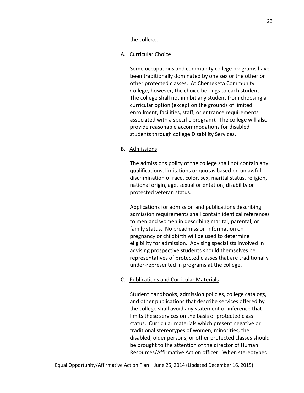|    | the college.                                                                                                                                                                                                                                                                                                                                                                                                                                                                                                                                                                |
|----|-----------------------------------------------------------------------------------------------------------------------------------------------------------------------------------------------------------------------------------------------------------------------------------------------------------------------------------------------------------------------------------------------------------------------------------------------------------------------------------------------------------------------------------------------------------------------------|
|    | A. Curricular Choice                                                                                                                                                                                                                                                                                                                                                                                                                                                                                                                                                        |
|    | Some occupations and community college programs have<br>been traditionally dominated by one sex or the other or<br>other protected classes. At Chemeketa Community<br>College, however, the choice belongs to each student.<br>The college shall not inhibit any student from choosing a<br>curricular option (except on the grounds of limited<br>enrollment, facilities, staff, or entrance requirements<br>associated with a specific program). The college will also<br>provide reasonable accommodations for disabled<br>students through college Disability Services. |
|    | B. Admissions                                                                                                                                                                                                                                                                                                                                                                                                                                                                                                                                                               |
|    | The admissions policy of the college shall not contain any<br>qualifications, limitations or quotas based on unlawful<br>discrimination of race, color, sex, marital status, religion,<br>national origin, age, sexual orientation, disability or<br>protected veteran status.                                                                                                                                                                                                                                                                                              |
|    | Applications for admission and publications describing<br>admission requirements shall contain identical references<br>to men and women in describing marital, parental, or<br>family status. No preadmission information on<br>pregnancy or childbirth will be used to determine<br>eligibility for admission. Advising specialists involved in<br>advising prospective students should themselves be<br>representatives of protected classes that are traditionally<br>under-represented in programs at the college.                                                      |
| C. | <b>Publications and Curricular Materials</b>                                                                                                                                                                                                                                                                                                                                                                                                                                                                                                                                |
|    | Student handbooks, admission policies, college catalogs,<br>and other publications that describe services offered by<br>the college shall avoid any statement or inference that<br>limits these services on the basis of protected class<br>status. Curricular materials which present negative or<br>traditional stereotypes of women, minorities, the<br>disabled, older persons, or other protected classes should<br>be brought to the attention of the director of Human<br>Resources/Affirmative Action officer. When stereotyped                                     |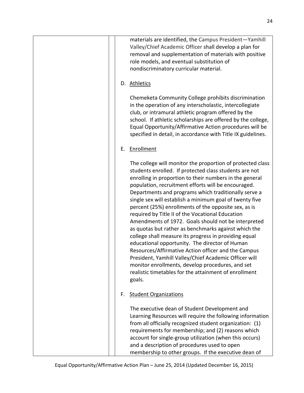| materials are identified, the Campus President-Yamhill<br>Valley/Chief Academic Officer shall develop a plan for<br>removal and supplementation of materials with positive<br>role models, and eventual substitution of<br>nondiscriminatory curricular material.                                                                                                                                                                                                                                                                                                                                                                                                                                                                                                                                                                                                                                                                      |
|----------------------------------------------------------------------------------------------------------------------------------------------------------------------------------------------------------------------------------------------------------------------------------------------------------------------------------------------------------------------------------------------------------------------------------------------------------------------------------------------------------------------------------------------------------------------------------------------------------------------------------------------------------------------------------------------------------------------------------------------------------------------------------------------------------------------------------------------------------------------------------------------------------------------------------------|
| D. Athletics                                                                                                                                                                                                                                                                                                                                                                                                                                                                                                                                                                                                                                                                                                                                                                                                                                                                                                                           |
| Chemeketa Community College prohibits discrimination<br>in the operation of any interscholastic, intercollegiate<br>club, or intramural athletic program offered by the<br>school. If athletic scholarships are offered by the college,<br>Equal Opportunity/Affirmative Action procedures will be<br>specified in detail, in accordance with Title IX guidelines.                                                                                                                                                                                                                                                                                                                                                                                                                                                                                                                                                                     |
| Enrollment<br>Е.                                                                                                                                                                                                                                                                                                                                                                                                                                                                                                                                                                                                                                                                                                                                                                                                                                                                                                                       |
| The college will monitor the proportion of protected class<br>students enrolled. If protected class students are not<br>enrolling in proportion to their numbers in the general<br>population, recruitment efforts will be encouraged.<br>Departments and programs which traditionally serve a<br>single sex will establish a minimum goal of twenty five<br>percent (25%) enrollments of the opposite sex, as is<br>required by Title II of the Vocational Education<br>Amendments of 1972. Goals should not be interpreted<br>as quotas but rather as benchmarks against which the<br>college shall measure its progress in providing equal<br>educational opportunity. The director of Human<br>Resources/Affirmative Action officer and the Campus<br>President, Yamhill Valley/Chief Academic Officer will<br>monitor enrollments, develop procedures, and set<br>realistic timetables for the attainment of enrollment<br>goals. |
| <b>Student Organizations</b><br>F.                                                                                                                                                                                                                                                                                                                                                                                                                                                                                                                                                                                                                                                                                                                                                                                                                                                                                                     |
| The executive dean of Student Development and<br>Learning Resources will require the following information<br>from all officially recognized student organization: (1)<br>requirements for membership; and (2) reasons which<br>account for single-group utilization (when this occurs)<br>and a description of procedures used to open<br>membership to other groups. If the executive dean of                                                                                                                                                                                                                                                                                                                                                                                                                                                                                                                                        |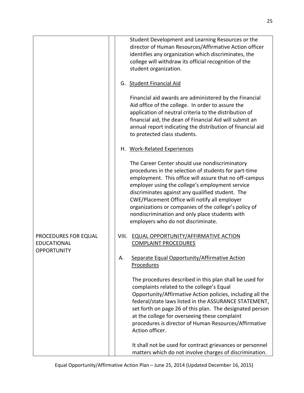|                                                                  | Student Development and Learning Resources or the<br>director of Human Resources/Affirmative Action officer<br>identifies any organization which discriminates, the<br>college will withdraw its official recognition of the<br>student organization.                                                                                                                                                                                                                      |
|------------------------------------------------------------------|----------------------------------------------------------------------------------------------------------------------------------------------------------------------------------------------------------------------------------------------------------------------------------------------------------------------------------------------------------------------------------------------------------------------------------------------------------------------------|
|                                                                  | G. Student Financial Aid                                                                                                                                                                                                                                                                                                                                                                                                                                                   |
|                                                                  | Financial aid awards are administered by the Financial<br>Aid office of the college. In order to assure the<br>application of neutral criteria to the distribution of<br>financial aid, the dean of Financial Aid will submit an<br>annual report indicating the distribution of financial aid<br>to protected class students.                                                                                                                                             |
|                                                                  | H. Work-Related Experiences                                                                                                                                                                                                                                                                                                                                                                                                                                                |
|                                                                  | The Career Center should use nondiscriminatory<br>procedures in the selection of students for part-time<br>employment. This office will assure that no off-campus<br>employer using the college's employment service<br>discriminates against any qualified student. The<br>CWE/Placement Office will notify all employer<br>organizations or companies of the college's policy of<br>nondiscrimination and only place students with<br>employers who do not discriminate. |
| PROCEDURES FOR EQUAL<br><b>EDUCATIONAL</b><br><b>OPPORTUNITY</b> | <b>EQUAL OPPORTUNITY/AFFIRMATIVE ACTION</b><br>VIII.<br><b>COMPLAINT PROCEDURES</b>                                                                                                                                                                                                                                                                                                                                                                                        |
|                                                                  | Separate Equal Opportunity/Affirmative Action<br>А.<br><b>Procedures</b>                                                                                                                                                                                                                                                                                                                                                                                                   |
|                                                                  | The procedures described in this plan shall be used for<br>complaints related to the college's Equal<br>Opportunity/Affirmative Action policies, including all the<br>federal/state laws listed in the ASSURANCE STATEMENT,<br>set forth on page 26 of this plan. The designated person<br>at the college for overseeing these complaint<br>procedures is director of Human Resources/Affirmative<br>Action officer.                                                       |
|                                                                  | It shall not be used for contract grievances or personnel<br>matters which do not involve charges of discrimination.                                                                                                                                                                                                                                                                                                                                                       |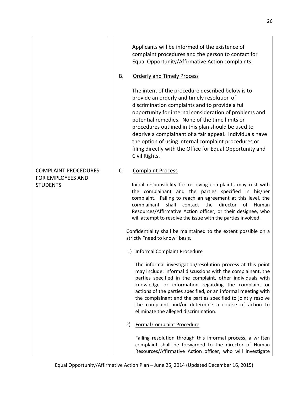|                                                                     | Applicants will be informed of the existence of<br>complaint procedures and the person to contact for<br>Equal Opportunity/Affirmative Action complaints.<br><b>Orderly and Timely Process</b><br>В.<br>The intent of the procedure described below is to<br>provide an orderly and timely resolution of<br>discrimination complaints and to provide a full<br>opportunity for internal consideration of problems and<br>potential remedies. None of the time limits or<br>procedures outlined in this plan should be used to<br>deprive a complainant of a fair appeal. Individuals have<br>the option of using internal complaint procedures or<br>filing directly with the Office for Equal Opportunity and<br>Civil Rights.                       |
|---------------------------------------------------------------------|-------------------------------------------------------------------------------------------------------------------------------------------------------------------------------------------------------------------------------------------------------------------------------------------------------------------------------------------------------------------------------------------------------------------------------------------------------------------------------------------------------------------------------------------------------------------------------------------------------------------------------------------------------------------------------------------------------------------------------------------------------|
| <b>COMPLAINT PROCEDURES</b><br>FOR EMPLOYEES AND<br><b>STUDENTS</b> | C.<br><b>Complaint Process</b><br>Initial responsibility for resolving complaints may rest with<br>the complainant and the parties specified in his/her<br>complaint. Failing to reach an agreement at this level, the<br>shall<br>the<br>director<br>complainant<br>contact<br>of<br>Human<br>Resources/Affirmative Action officer, or their designee, who<br>will attempt to resolve the issue with the parties involved.<br>Confidentiality shall be maintained to the extent possible on a<br>strictly "need to know" basis.                                                                                                                                                                                                                      |
|                                                                     | 1) Informal Complaint Procedure<br>The informal investigation/resolution process at this point<br>may include: informal discussions with the complainant, the<br>parties specified in the complaint, other individuals with<br>knowledge or information regarding the complaint or<br>actions of the parties specified, or an informal meeting with<br>the complainant and the parties specified to jointly resolve<br>the complaint and/or determine a course of action to<br>eliminate the alleged discrimination.<br><b>Formal Complaint Procedure</b><br>2)<br>Failing resolution through this informal process, a written<br>complaint shall be forwarded to the director of Human<br>Resources/Affirmative Action officer, who will investigate |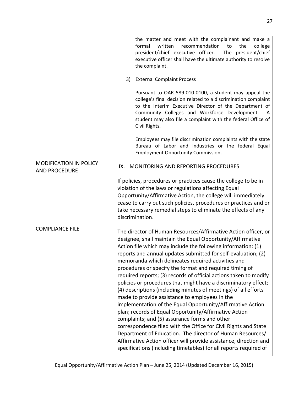|                                                       | the matter and meet with the complainant and make a<br>formal<br>written<br>recommendation<br>college<br>the<br>to<br>president/chief executive officer.<br>The president/chief<br>executive officer shall have the ultimate authority to resolve<br>the complaint.                                                                                                                                                                                                                                                                                                                                                                                                                                                                                                                                                                                                                                                                                                                                                                                                                           |
|-------------------------------------------------------|-----------------------------------------------------------------------------------------------------------------------------------------------------------------------------------------------------------------------------------------------------------------------------------------------------------------------------------------------------------------------------------------------------------------------------------------------------------------------------------------------------------------------------------------------------------------------------------------------------------------------------------------------------------------------------------------------------------------------------------------------------------------------------------------------------------------------------------------------------------------------------------------------------------------------------------------------------------------------------------------------------------------------------------------------------------------------------------------------|
|                                                       | <b>External Complaint Process</b><br>3)                                                                                                                                                                                                                                                                                                                                                                                                                                                                                                                                                                                                                                                                                                                                                                                                                                                                                                                                                                                                                                                       |
|                                                       | Pursuant to OAR 589-010-0100, a student may appeal the<br>college's final decision related to a discrimination complaint<br>to the Interim Executive Director of the Department of<br>Community Colleges and Workforce Development.<br>A<br>student may also file a complaint with the federal Office of<br>Civil Rights.                                                                                                                                                                                                                                                                                                                                                                                                                                                                                                                                                                                                                                                                                                                                                                     |
|                                                       | Employees may file discrimination complaints with the state<br>Bureau of Labor and Industries or the federal Equal<br><b>Employment Opportunity Commission.</b>                                                                                                                                                                                                                                                                                                                                                                                                                                                                                                                                                                                                                                                                                                                                                                                                                                                                                                                               |
| <b>MODIFICATION IN POLICY</b><br><b>AND PROCEDURE</b> | <b>MONITORING AND REPORTING PROCEDURES</b><br>IX.                                                                                                                                                                                                                                                                                                                                                                                                                                                                                                                                                                                                                                                                                                                                                                                                                                                                                                                                                                                                                                             |
|                                                       | If policies, procedures or practices cause the college to be in<br>violation of the laws or regulations affecting Equal<br>Opportunity/Affirmative Action, the college will immediately<br>cease to carry out such policies, procedures or practices and or<br>take necessary remedial steps to eliminate the effects of any<br>discrimination.                                                                                                                                                                                                                                                                                                                                                                                                                                                                                                                                                                                                                                                                                                                                               |
| <b>COMPLIANCE FILE</b>                                | The director of Human Resources/Affirmative Action officer, or<br>designee, shall maintain the Equal Opportunity/Affirmative<br>Action file which may include the following information: (1)<br>reports and annual updates submitted for self-evaluation; (2)<br>memoranda which delineates required activities and<br>procedures or specify the format and required timing of<br>required reports; (3) records of official actions taken to modify<br>policies or procedures that might have a discriminatory effect;<br>(4) descriptions (including minutes of meetings) of all efforts<br>made to provide assistance to employees in the<br>implementation of the Equal Opportunity/Affirmative Action<br>plan; records of Equal Opportunity/Affirmative Action<br>complaints; and (5) assurance forms and other<br>correspondence filed with the Office for Civil Rights and State<br>Department of Education. The director of Human Resources/<br>Affirmative Action officer will provide assistance, direction and<br>specifications (including timetables) for all reports required of |